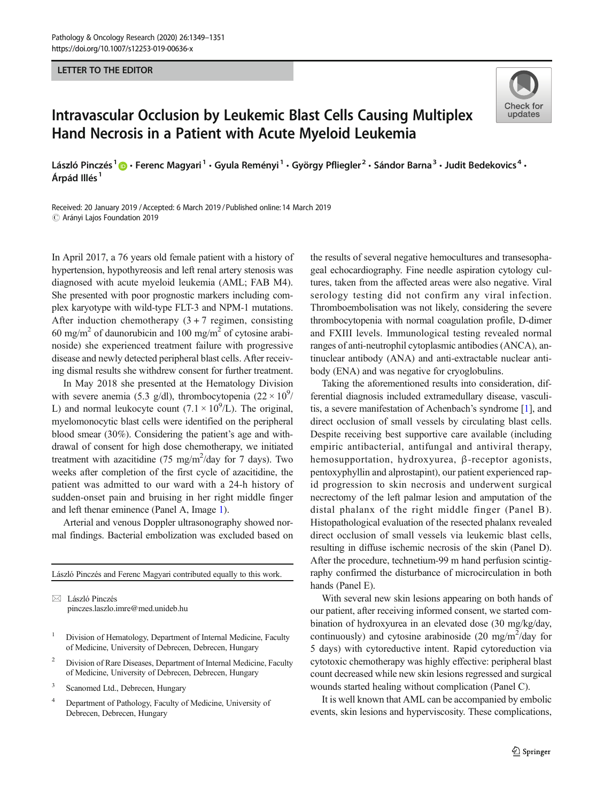### LETTER TO THE EDITOR

# **Check for** undates

## Intravascular Occlusion by Leukemic Blast Cells Causing Multiplex Hand Necrosis in a Patient with Acute Myeloid Leukemia

László Pinczés<sup>1</sup>  $\cdot$  Ferenc Magyari<sup>1</sup> · Gyula Reményi<sup>1</sup> · György Pfliegler<sup>2</sup> · Sándor Barna<sup>3</sup> · Judit Bedekovics<sup>4</sup> · Árpád Illés<sup>1</sup>

Received: 20 January 2019 /Accepted: 6 March 2019 /Published online:14 March 2019 $\odot$  Arányi Lajos Foundation 2019

In April 2017, a 76 years old female patient with a history of hypertension, hypothyreosis and left renal artery stenosis was diagnosed with acute myeloid leukemia (AML; FAB M4). She presented with poor prognostic markers including complex karyotype with wild-type FLT-3 and NPM-1 mutations. After induction chemotherapy  $(3 + 7)$  regimen, consisting 60 mg/m<sup>2</sup> of daunorubicin and 100 mg/m<sup>2</sup> of cytosine arabinoside) she experienced treatment failure with progressive disease and newly detected peripheral blast cells. After receiving dismal results she withdrew consent for further treatment.

In May 2018 she presented at the Hematology Division with severe anemia (5.3 g/dl), thrombocytopenia (22  $\times$  10<sup>9</sup>/ L) and normal leukocyte count  $(7.1 \times 10^9$ /L). The original, myelomonocytic blast cells were identified on the peripheral blood smear (30%). Considering the patient's age and withdrawal of consent for high dose chemotherapy, we initiated treatment with azacitidine  $(75 \text{ mg/m}^2/\text{day} \text{ for } 7 \text{ days})$ . Two weeks after completion of the first cycle of azacitidine, the patient was admitted to our ward with a 24-h history of sudden-onset pain and bruising in her right middle finger and left thenar eminence (Panel A, Image [1\)](#page-1-0).

Arterial and venous Doppler ultrasonography showed normal findings. Bacterial embolization was excluded based on

László Pinczés and Ferenc Magyari contributed equally to this work.

 $\boxtimes$  László Pinczés [pinczes.laszlo.imre@med.unideb.hu](mailto:pinczes.laszlo.imre@med.unideb.hu)

- <sup>1</sup> Division of Hematology, Department of Internal Medicine, Faculty of Medicine, University of Debrecen, Debrecen, Hungary
- <sup>2</sup> Division of Rare Diseases, Department of Internal Medicine, Faculty of Medicine, University of Debrecen, Debrecen, Hungary
- <sup>3</sup> Scanomed Ltd., Debrecen, Hungary
- <sup>4</sup> Department of Pathology, Faculty of Medicine, University of Debrecen, Debrecen, Hungary

the results of several negative hemocultures and transesophageal echocardiography. Fine needle aspiration cytology cultures, taken from the affected areas were also negative. Viral serology testing did not confirm any viral infection. Thromboembolisation was not likely, considering the severe thrombocytopenia with normal coagulation profile, D-dimer and FXIII levels. Immunological testing revealed normal ranges of anti-neutrophil cytoplasmic antibodies (ANCA), antinuclear antibody (ANA) and anti-extractable nuclear antibody (ENA) and was negative for cryoglobulins.

Taking the aforementioned results into consideration, differential diagnosis included extramedullary disease, vasculitis, a severe manifestation of Achenbach's syndrome [\[1\]](#page-1-0), and direct occlusion of small vessels by circulating blast cells. Despite receiving best supportive care available (including empiric antibacterial, antifungal and antiviral therapy, hemosupportation, hydroxyurea, β-receptor agonists, pentoxyphyllin and alprostapint), our patient experienced rapid progression to skin necrosis and underwent surgical necrectomy of the left palmar lesion and amputation of the distal phalanx of the right middle finger (Panel B). Histopathological evaluation of the resected phalanx revealed direct occlusion of small vessels via leukemic blast cells, resulting in diffuse ischemic necrosis of the skin (Panel D). After the procedure, technetium-99 m hand perfusion scintigraphy confirmed the disturbance of microcirculation in both hands (Panel E).

With several new skin lesions appearing on both hands of our patient, after receiving informed consent, we started combination of hydroxyurea in an elevated dose (30 mg/kg/day, continuously) and cytosine arabinoside  $(20 \text{ mg/m}^2/\text{day}$  for 5 days) with cytoreductive intent. Rapid cytoreduction via cytotoxic chemotherapy was highly effective: peripheral blast count decreased while new skin lesions regressed and surgical wounds started healing without complication (Panel C).

It is well known that AML can be accompanied by embolic events, skin lesions and hyperviscosity. These complications,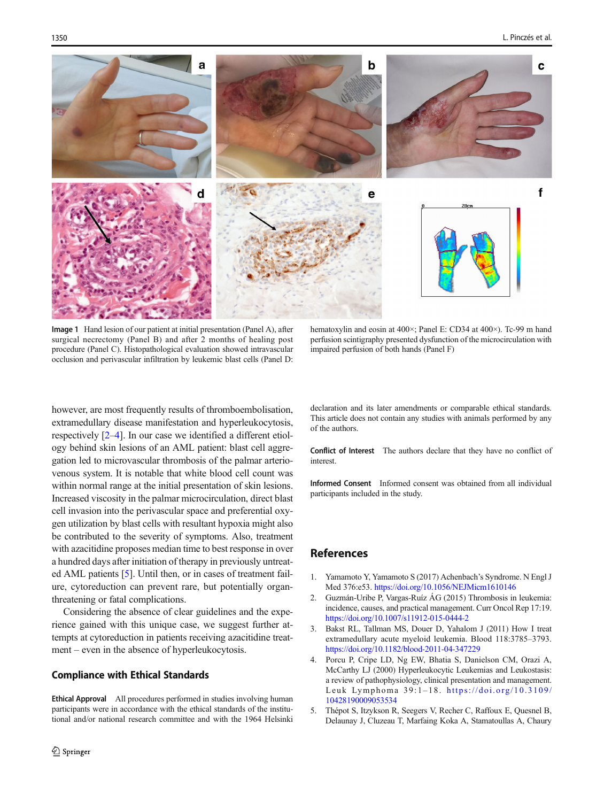<span id="page-1-0"></span>

Image 1 Hand lesion of our patient at initial presentation (Panel A), after surgical necrectomy (Panel B) and after 2 months of healing post procedure (Panel C). Histopathological evaluation showed intravascular occlusion and perivascular infiltration by leukemic blast cells (Panel D:

hematoxylin and eosin at 400 $\times$ ; Panel E: CD34 at 400 $\times$ ). Tc-99 m hand perfusion scintigraphy presented dysfunction of the microcirculation with impaired perfusion of both hands (Panel F)

however, are most frequently results of thromboembolisation, extramedullary disease manifestation and hyperleukocytosis, respectively [2–4]. In our case we identified a different etiology behind skin lesions of an AML patient: blast cell aggregation led to microvascular thrombosis of the palmar arteriovenous system. It is notable that white blood cell count was within normal range at the initial presentation of skin lesions. Increased viscosity in the palmar microcirculation, direct blast cell invasion into the perivascular space and preferential oxygen utilization by blast cells with resultant hypoxia might also be contributed to the severity of symptoms. Also, treatment with azacitidine proposes median time to best response in over a hundred days after initiation of therapy in previously untreated AML patients [5]. Until then, or in cases of treatment failure, cytoreduction can prevent rare, but potentially organthreatening or fatal complications.

Considering the absence of clear guidelines and the experience gained with this unique case, we suggest further attempts at cytoreduction in patients receiving azacitidine treatment – even in the absence of hyperleukocytosis.

### Compliance with Ethical Standards

Ethical Approval All procedures performed in studies involving human participants were in accordance with the ethical standards of the institutional and/or national research committee and with the 1964 Helsinki declaration and its later amendments or comparable ethical standards. This article does not contain any studies with animals performed by any of the authors.

Conflict of Interest The authors declare that they have no conflict of interest.

Informed Consent Informed consent was obtained from all individual participants included in the study.

### References

- 1. Yamamoto Y, Yamamoto S (2017) Achenbach's Syndrome. N Engl J Med 376:e53. <https://doi.org/10.1056/NEJMicm1610146>
- 2. Guzmán-Uribe P, Vargas-Ruíz ÁG (2015) Thrombosis in leukemia: incidence, causes, and practical management. Curr Oncol Rep 17:19. <https://doi.org/10.1007/s11912-015-0444-2>
- 3. Bakst RL, Tallman MS, Douer D, Yahalom J (2011) How I treat extramedullary acute myeloid leukemia. Blood 118:3785–3793. <https://doi.org/10.1182/blood-2011-04-347229>
- 4. Porcu P, Cripe LD, Ng EW, Bhatia S, Danielson CM, Orazi A, McCarthy LJ (2000) Hyperleukocytic Leukemias and Leukostasis: a review of pathophysiology, clinical presentation and management. Leuk Lymphoma 39:1–18. [https://doi.org/10.3109/](https://doi.org/10.3109/10428190009053534) [10428190009053534](https://doi.org/10.3109/10428190009053534)
- 5. Thépot S, Itzykson R, Seegers V, Recher C, Raffoux E, Quesnel B, Delaunay J, Cluzeau T, Marfaing Koka A, Stamatoullas A, Chaury